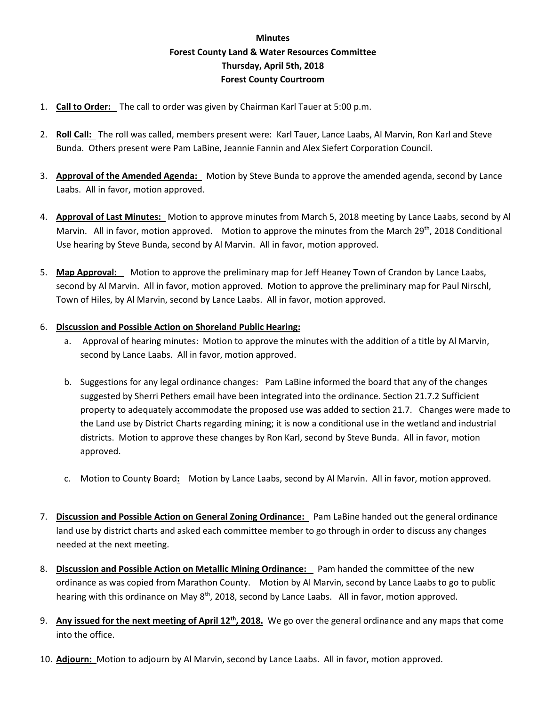## **Minutes Forest County Land & Water Resources Committee Thursday, April 5th, 2018 Forest County Courtroom**

- 1. **Call to Order:** The call to order was given by Chairman Karl Tauer at 5:00 p.m.
- 2. **Roll Call:** The roll was called, members present were: Karl Tauer, Lance Laabs, Al Marvin, Ron Karl and Steve Bunda. Others present were Pam LaBine, Jeannie Fannin and Alex Siefert Corporation Council.
- 3. **Approval of the Amended Agenda:** Motion by Steve Bunda to approve the amended agenda, second by Lance Laabs. All in favor, motion approved.
- 4. **Approval of Last Minutes:** Motion to approve minutes from March 5, 2018 meeting by Lance Laabs, second by Al Marvin. All in favor, motion approved. Motion to approve the minutes from the March 29<sup>th</sup>, 2018 Conditional Use hearing by Steve Bunda, second by Al Marvin. All in favor, motion approved.
- 5. **Map Approval:** Motion to approve the preliminary map for Jeff Heaney Town of Crandon by Lance Laabs, second by Al Marvin. All in favor, motion approved. Motion to approve the preliminary map for Paul Nirschl, Town of Hiles, by Al Marvin, second by Lance Laabs. All in favor, motion approved.

## 6. **Discussion and Possible Action on Shoreland Public Hearing:**

- a. Approval of hearing minutes: Motion to approve the minutes with the addition of a title by Al Marvin, second by Lance Laabs. All in favor, motion approved.
- b. Suggestions for any legal ordinance changes: Pam LaBine informed the board that any of the changes suggested by Sherri Pethers email have been integrated into the ordinance. Section 21.7.2 Sufficient property to adequately accommodate the proposed use was added to section 21.7. Changes were made to the Land use by District Charts regarding mining; it is now a conditional use in the wetland and industrial districts. Motion to approve these changes by Ron Karl, second by Steve Bunda. All in favor, motion approved.
- c. Motion to County Board**:** Motion by Lance Laabs, second by Al Marvin. All in favor, motion approved.
- 7. **Discussion and Possible Action on General Zoning Ordinance:** Pam LaBine handed out the general ordinance land use by district charts and asked each committee member to go through in order to discuss any changes needed at the next meeting.
- 8. **Discussion and Possible Action on Metallic Mining Ordinance:** Pam handed the committee of the new ordinance as was copied from Marathon County. Motion by Al Marvin, second by Lance Laabs to go to public hearing with this ordinance on May 8<sup>th</sup>, 2018, second by Lance Laabs. All in favor, motion approved.
- 9. **Any issued for the next meeting of April 12th, 2018.** We go over the general ordinance and any maps that come into the office.
- 10. **Adjourn:** Motion to adjourn by Al Marvin, second by Lance Laabs. All in favor, motion approved.